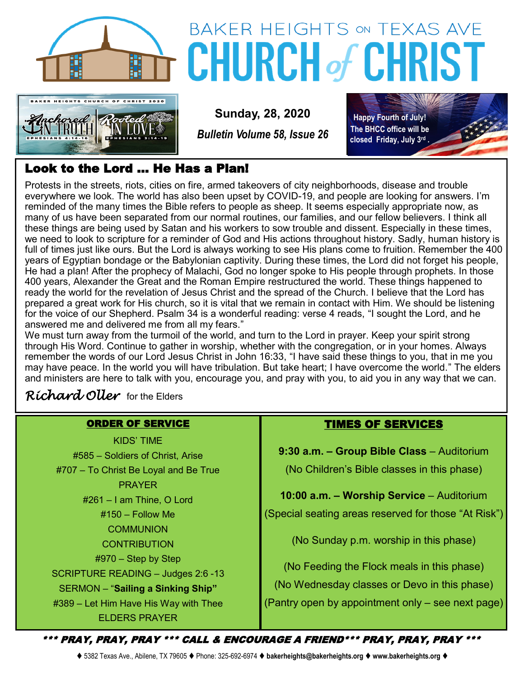



# **BAKER HEIGHTS ON TEXAS AVE CHURCH of CHRIS**

**Sunday, 28, 2020**

*Bulletin Volume 58, Issue 26*

**Happy Fourth of July! The BHCC office will be closed Friday, July 3rd .**

# Look to the Lord … He Has a Plan!

Protests in the streets, riots, cities on fire, armed takeovers of city neighborhoods, disease and trouble everywhere we look. The world has also been upset by COVID-19, and people are looking for answers. I'm reminded of the many times the Bible refers to people as sheep. It seems especially appropriate now, as many of us have been separated from our normal routines, our families, and our fellow believers. I think all these things are being used by Satan and his workers to sow trouble and dissent. Especially in these times, we need to look to scripture for a reminder of God and His actions throughout history. Sadly, human history is full of times just like ours. But the Lord is always working to see His plans come to fruition. Remember the 400 years of Egyptian bondage or the Babylonian captivity. During these times, the Lord did not forget his people, He had a plan! After the prophecy of Malachi, God no longer spoke to His people through prophets. In those 400 years, Alexander the Great and the Roman Empire restructured the world. These things happened to ready the world for the revelation of Jesus Christ and the spread of the Church. I believe that the Lord has prepared a great work for His church, so it is vital that we remain in contact with Him. We should be listening for the voice of our Shepherd. Psalm 34 is a wonderful reading: verse 4 reads, "I sought the Lord, and he answered me and delivered me from all my fears."

We must turn away from the turmoil of the world, and turn to the Lord in prayer. Keep your spirit strong through His Word. Continue to gather in worship, whether with the congregation, or in your homes. Always remember the words of our Lord Jesus Christ in John 16:33, "I have said these things to you, that in me you may have peace. In the world you will have tribulation. But take heart; I have overcome the world." The elders and ministers are here to talk with you, encourage you, and pray with you, to aid you in any way that we can.

# *Richard Oller* for the Elders

## ORDER OF SERVICE

KIDS' TIME #585 – Soldiers of Christ, Arise #707 – To Christ Be Loyal and Be True PRAYER #261 – I am Thine, O Lord #150 – Follow Me **COMMUNION CONTRIBUTION** #970 – Step by Step SCRIPTURE READING – Judges 2:6 -13 SERMON – "**Sailing a Sinking Ship"** #389 – Let Him Have His Way with Thee ELDERS PRAYER

## TIMES OF SERVICES

**9:30 a.m. – Group Bible Class** – Auditorium (No Children's Bible classes in this phase)

**10:00 a.m. – Worship Service** – Auditorium

(Special seating areas reserved for those "At Risk")

(No Sunday p.m. worship in this phase)

(No Feeding the Flock meals in this phase) (No Wednesday classes or Devo in this phase) (Pantry open by appointment only – see next page)

\*\*\* PRAY, PRAY, PRAY \*\*\* CALL & ENCOURAGE A FRIEND\*\*\* PRAY, PRAY, PRAY \*\*\*

⧫ 5382 Texas Ave., Abilene, TX 79605 ⧫ Phone: 325-692-6974 ⧫ **bakerheights@bakerheights.org** ⧫ **www.bakerheights.org** ⧫